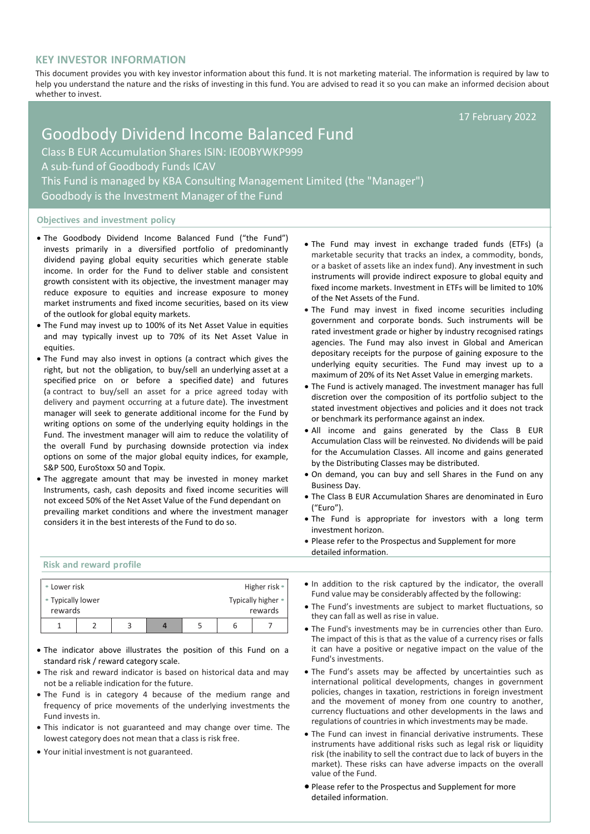# **KEY INVESTOR INFORMATION**

This document provides you with key investor information about this fund. It is not marketing material. The information is required by law to help you understand the nature and the risks of investing in this fund. You are advised to read it so you can make an informed decision about whether to invest.

17 February 2022

# Goodbody Dividend Income Balanced Fund Class B EUR Accumulation Shares ISIN: IE00BYWKP999 A sub-fund of Goodbody Funds ICAV This Fund is managed by KBA Consulting Management Limited (the "Manager") Goodbody is the Investment Manager of the Fund

## **Objectives and investment policy**

- The Goodbody Dividend Income Balanced Fund ("the Fund") invests primarily in a diversified portfolio of predominantly dividend paying global equity securities which generate stable income. In order for the Fund to deliver stable and consistent growth consistent with its objective, the investment manager may reduce exposure to equities and increase exposure to money market instruments and fixed income securities, based on its view of the outlook for global equity markets.
- The Fund may invest up to 100% of its Net Asset Value in equities and may typically invest up to 70% of its Net Asset Value in equities.
- The Fund may also invest in options (a contract which gives the right, but not the obligation, to buy/sell an [underlying](https://en.wikipedia.org/wiki/Underlying) [asset](https://en.wikipedia.org/wiki/Asset) at a specified price on or before a specified [date\)](https://en.wikipedia.org/wiki/Expiration_(options)) and futures (a contract to buy/sell an asset for a price agreed today with delivery and payment occurring at a future date). The investment manager will seek to generate additional income for the Fund by writing options on some of the underlying equity holdings in the Fund. The investment manager will aim to reduce the volatility of the overall Fund by purchasing downside protection via index options on some of the major global equity indices, for example, S&P 500, EuroStoxx 50 and Topix.
- The aggregate amount that may be invested in money market Instruments, cash, cash deposits and fixed income securities will not exceed 50% of the Net Asset Value of the Fund dependant on prevailing market conditions and where the investment manager considers it in the best interests of the Fund to do so.
- The Fund may invest in exchange traded funds (ETFs) (a marketable security that tracks an index, a commodity, bonds, or a basket of assets like an index fund). Any investment in such instruments will provide indirect exposure to global equity and fixed income markets. Investment in ETFs will be limited to 10% of the Net Assets of the Fund.
- The Fund may invest in fixed income securities including government and corporate bonds. Such instruments will be rated investment grade or higher by industry recognised ratings agencies. The Fund may also invest in Global and American depositary receipts for the purpose of gaining exposure to the underlying equity securities. The Fund may invest up to a maximum of 20% of its Net Asset Value in emerging markets.
- The Fund is actively managed. The investment manager has full discretion over the composition of its portfolio subject to the stated investment objectives and policies and it does not track or benchmark its performance against an index.
- All income and gains generated by the Class B EUR Accumulation Class will be reinvested. No dividends will be paid for the Accumulation Classes. All income and gains generated by the Distributing Classes may be distributed.
- On demand, you can buy and sell Shares in the Fund on any Business Day.
- The Class B EUR Accumulation Shares are denominated in Euro ("Euro").
- The Fund is appropriate for investors with a long term investment horizon.
- Please refer to the Prospectus and Supplement for more detailed information.

#### **Risk and reward profile**

| • Lower risk      |  |  |  |  | Higher risk •      |         |  |
|-------------------|--|--|--|--|--------------------|---------|--|
| • Typically lower |  |  |  |  | Typically higher • |         |  |
| rewards           |  |  |  |  |                    | rewards |  |
|                   |  |  |  |  |                    |         |  |

- The indicator above illustrates the position of this Fund on a standard risk / reward category scale.
- The risk and reward indicator is based on historical data and may not be a reliable indication for the future.
- The Fund is in category 4 because of the medium range and frequency of price movements of the underlying investments the Fund invests in.
- This indicator is not guaranteed and may change over time. The lowest category does not mean that a class is risk free.
- Your initial investment is not guaranteed.
- In addition to the risk captured by the indicator, the overall Fund value may be considerably affected by the following:
- The Fund's investments are subject to market fluctuations, so they can fall as well as rise in value.
- The Fund's investments may be in currencies other than Euro. The impact of this is that as the value of a currency rises or falls it can have a positive or negative impact on the value of the Fund's investments.
- The Fund's assets may be affected by uncertainties such as international political developments, changes in government policies, changes in taxation, restrictions in foreign investment and the movement of money from one country to another, currency fluctuations and other developments in the laws and regulations of countries in which investments may be made.
- The Fund can invest in financial derivative instruments. These instruments have additional risks such as legal risk or liquidity risk (the inability to sell the contract due to lack of buyers in the market). These risks can have adverse impacts on the overall value of the Fund.
- Please refer to the Prospectus and Supplement for more detailed information.